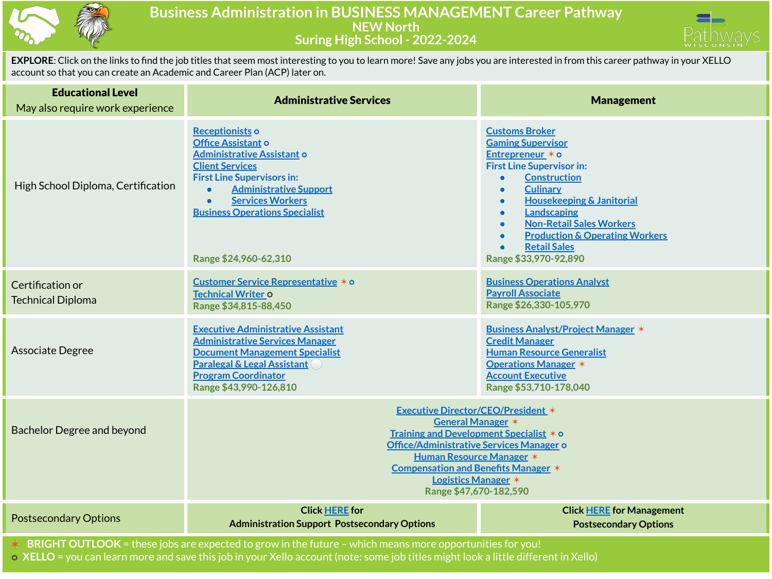

## **Business Administration in BUSINESS MANAGEMENT Career Pathway NEW North Suring High School - 2022-2024**



**EXPLORE**: Click on the links to find the job titles that seem most interesting to you to learn more! Save any jobs you are interested in from this career pathway in your XELLO account so that you can create an Academic and Career Plan (ACP) later on.

| <b>Educational Level</b><br>May also require work experience                                             | <b>Administrative Services</b>                                                                                                                                                                                                                                                                 | <b>Management</b>                                                                                                                                                                                                                                                                                                                                                                        |  |  |
|----------------------------------------------------------------------------------------------------------|------------------------------------------------------------------------------------------------------------------------------------------------------------------------------------------------------------------------------------------------------------------------------------------------|------------------------------------------------------------------------------------------------------------------------------------------------------------------------------------------------------------------------------------------------------------------------------------------------------------------------------------------------------------------------------------------|--|--|
| High School Diploma, Certification                                                                       | Receptionists o<br>Office Assistant o<br><b>Administrative Assistant o</b><br><b>Client Services</b><br><b>First Line Supervisors in:</b><br><b>Administrative Support</b><br><b>Services Workers</b><br><b>Business Operations Specialist</b><br>Range \$24,960-62,310                        | <b>Customs Broker</b><br><b>Gaming Supervisor</b><br>Entrepreneur * o<br><b>First Line Supervisor in:</b><br><b>Construction</b><br><b>Culinary</b><br><b>Housekeeping &amp; Janitorial</b><br>$\bullet$<br><b>Landscaping</b><br>$\bullet$<br><b>Non-Retail Sales Workers</b><br>$\bullet$<br><b>Production &amp; Operating Workers</b><br><b>Retail Sales</b><br>Range \$33,970-92,890 |  |  |
| Certification or<br><b>Technical Diploma</b>                                                             | Customer Service Representative * o<br>Technical Writer o<br>Range \$34,815-88,450                                                                                                                                                                                                             | <b>Business Operations Analyst</b><br><b>Payroll Associate</b><br>Range \$26,330-105,970                                                                                                                                                                                                                                                                                                 |  |  |
| Associate Degree                                                                                         | <b>Executive Administrative Assistant</b><br><b>Administrative Services Manager</b><br><b>Document Management Specialist</b><br><b>Paralegal &amp; Legal Assistant</b><br><b>Program Coordinator</b><br>Range \$43,990-126,810                                                                 | <b>Business Analyst/Project Manager *</b><br><b>Credit Manager</b><br><b>Human Resource Generalist</b><br><b>Operations Manager *</b><br><b>Account Executive</b><br>Range \$53,710-178,040                                                                                                                                                                                              |  |  |
| <b>Bachelor Degree and beyond</b>                                                                        | <b>Executive Director/CEO/President *</b><br>General Manager *<br>Training and Development Specialist * o<br>Office/Administrative Services Manager o<br><b>Human Resource Manager *</b><br><b>Compensation and Benefits Manager *</b><br><b>Logistics Manager *</b><br>Range \$47,670-182,590 |                                                                                                                                                                                                                                                                                                                                                                                          |  |  |
| <b>Postsecondary Options</b>                                                                             | <b>Click HERE for</b><br><b>Administration Support Postsecondary Options</b>                                                                                                                                                                                                                   | <b>Click HERE for Management</b><br><b>Postsecondary Options</b>                                                                                                                                                                                                                                                                                                                         |  |  |
| BRIGHT OUTLOOK = these jobs are expected to grow in the future - which means more opportunities for you! |                                                                                                                                                                                                                                                                                                |                                                                                                                                                                                                                                                                                                                                                                                          |  |  |

⭘ **XELLO** = you can learn more and save this job in your Xello account (note: some job titles might look a little different in Xello)